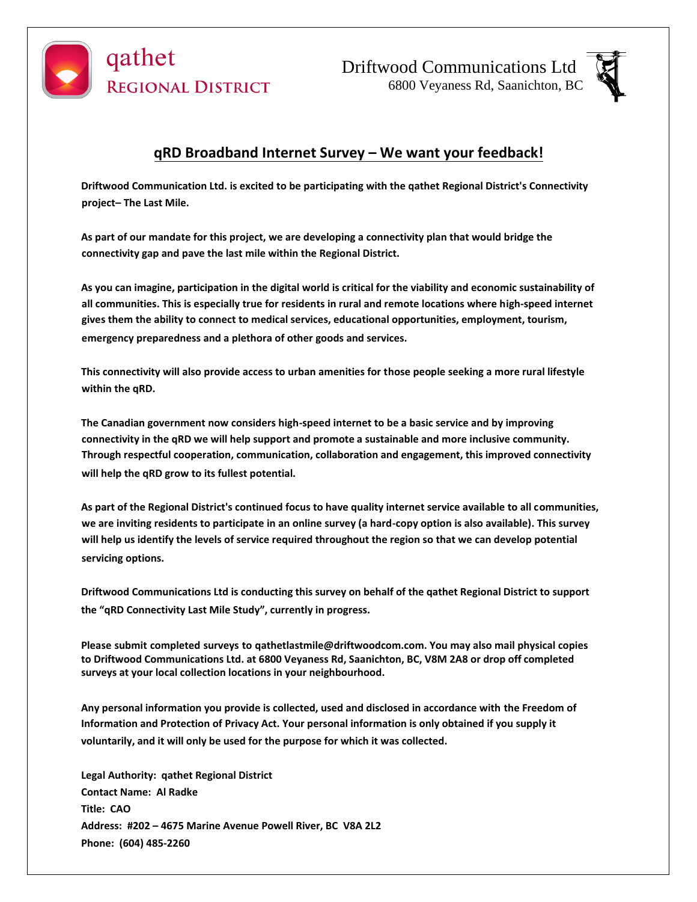

Driftwood Communications Ltd 6800 Veyaness Rd, Saanichton, BC



# **qRD Broadband Internet Survey – We want your feedback!**

**Driftwood Communication Ltd. is excited to be participating with the qathet Regional District's Connectivity project– The Last Mile.**

**As part of our mandate for this project, we are developing a connectivity plan that would bridge the connectivity gap and pave the last mile within the Regional District.**

**As you can imagine, participation in the digital world is critical for the viability and economic sustainability of all communities. This is especially true for residents in rural and remote locations where high-speed internet gives them the ability to connect to medical services, educational opportunities, employment, tourism, emergency preparedness and a plethora of other goods and services.**

**This connectivity will also provide access to urban amenities for those people seeking a more rural lifestyle within the qRD.**

**The Canadian government now considers high-speed internet to be a basic service and by improving connectivity in the qRD we will help support and promote a sustainable and more inclusive community. Through respectful cooperation, communication, collaboration and engagement, this improved connectivity will help the qRD grow to its fullest potential.**

**As part of the Regional District's continued focus to have quality internet service available to all communities, we are inviting residents to participate in an online survey (a hard-copy option is also available). This survey will help us identify the levels of service required throughout the region so that we can develop potential servicing options.**

**Driftwood Communications Ltd is conducting this survey on behalf of the qathet Regional District to support the "qRD Connectivity Last Mile Study", currently in progress.**

**Please submit completed surveys to qathetlastmile@driftwoodcom.com. You may also mail physical copies to Driftwood Communications Ltd. at 6800 Veyaness Rd, Saanichton, BC, V8M 2A8 or drop off completed surveys at your local collection locations in your neighbourhood.**

**Any personal information you provide is collected, used and disclosed in accordance with the Freedom of Information and Protection of Privacy Act. Your personal information is only obtained if you supply it voluntarily, and it will only be used for the purpose for which it was collected.**

**Legal Authority: qathet Regional District Contact Name: Al Radke Title: CAO Address: #202 – 4675 Marine Avenue Powell River, BC V8A 2L2 Phone: (604) 485-2260**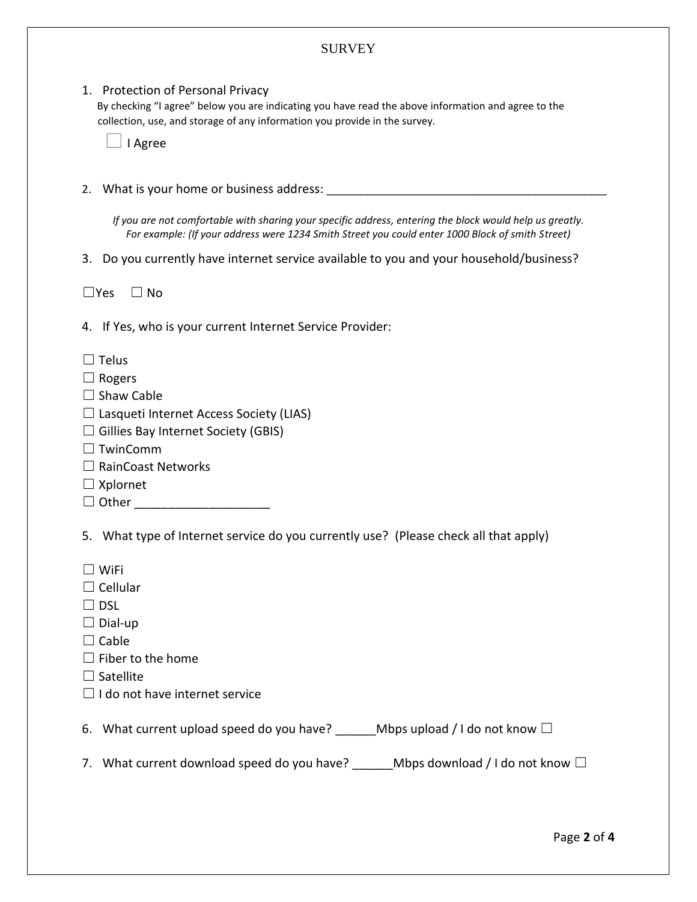## **SURVEY**

#### 1. Protection of Personal Privacy

By checking "I agree" below you are indicating you have read the above information and agree to the collection, use, and storage of any information you provide in the survey.

|  | Agree |
|--|-------|
|--|-------|

2. What is your home or business address:

*If you are not comfortable with sharing your specific address, entering the block would help us greatly. For example: (If your address were 1234 Smith Street you could enter 1000 Block of smith Street)*

3. Do you currently have internet service available to you and your household/business?

 $\Box$ Yes  $\Box$  No

4. If Yes, who is your current Internet Service Provider:

- $\Box$  Telus
- □ Rogers
- $\Box$  Shaw Cable
- $\Box$  Lasqueti Internet Access Society (LIAS)
- $\Box$  Gillies Bay Internet Society (GBIS)
- ☐ TwinComm
- ☐ RainCoast Networks
- $\Box$  Xplornet
- □ Other \_\_\_\_\_\_\_\_\_\_\_\_\_\_\_\_

5. What type of Internet service do you currently use? (Please check all that apply)

- ☐ WiFi
- ☐ Cellular
- $\Box$  DSL
- $\Box$  Dial-up
- $\Box$  Cable
- $\Box$  Fiber to the home
- $\square$  Satellite
- $\Box$  I do not have internet service

6. What current upload speed do you have? Mbps upload / I do not know  $\square$ 

7. What current download speed do you have? \_\_\_\_\_\_ Mbps download / I do not know □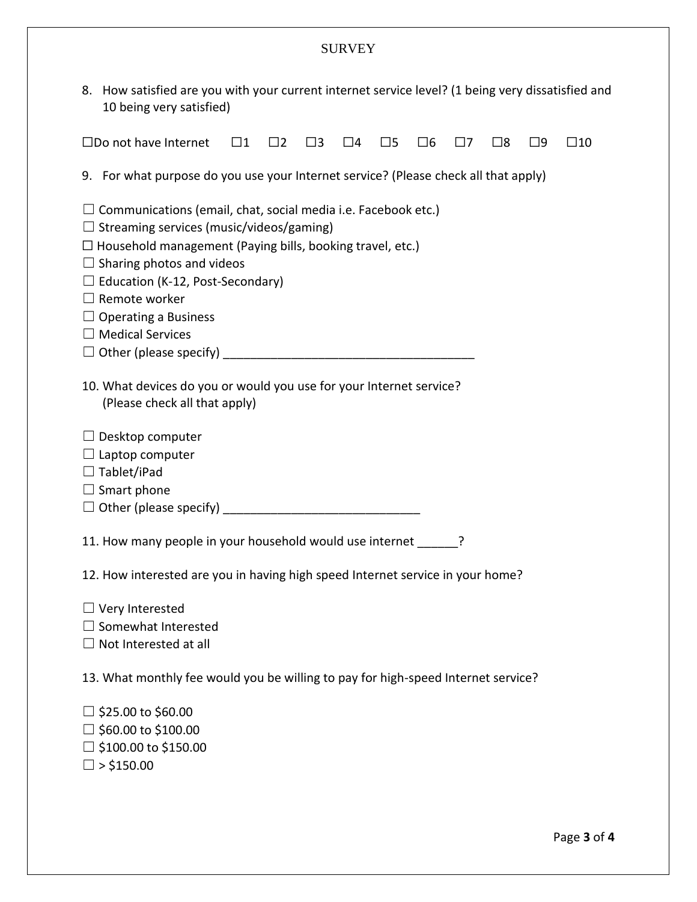## SURVEY

8. How satisfied are you with your current internet service level? (1 being very dissatisfied and 10 being very satisfied)

|                                                                                                                                                                                                                                                                                                                                                              | $\square$ Do not have Internet                                                      | $\square$ 1 | $\Box$ 2 | $\square$ 3 | $\Box$ 4 | $\square$ 5 | $\Box 6$ | 17 | $\square$ 8 | $\square$ 9 | $\square$ 10 |
|--------------------------------------------------------------------------------------------------------------------------------------------------------------------------------------------------------------------------------------------------------------------------------------------------------------------------------------------------------------|-------------------------------------------------------------------------------------|-------------|----------|-------------|----------|-------------|----------|----|-------------|-------------|--------------|
|                                                                                                                                                                                                                                                                                                                                                              | 9. For what purpose do you use your Internet service? (Please check all that apply) |             |          |             |          |             |          |    |             |             |              |
| $\Box$ Communications (email, chat, social media i.e. Facebook etc.)<br>$\Box$ Streaming services (music/videos/gaming)<br>$\Box$ Household management (Paying bills, booking travel, etc.)<br>$\Box$ Sharing photos and videos<br>$\Box$ Education (K-12, Post-Secondary)<br>$\Box$ Remote worker<br>$\Box$ Operating a Business<br>$\Box$ Medical Services |                                                                                     |             |          |             |          |             |          |    |             |             |              |
| 10. What devices do you or would you use for your Internet service?<br>(Please check all that apply)                                                                                                                                                                                                                                                         |                                                                                     |             |          |             |          |             |          |    |             |             |              |
| $\Box$ Desktop computer<br>$\Box$ Laptop computer<br>$\Box$ Tablet/iPad<br>$\Box$ Smart phone                                                                                                                                                                                                                                                                |                                                                                     |             |          |             |          |             |          |    |             |             |              |
| 11. How many people in your household would use internet ______?                                                                                                                                                                                                                                                                                             |                                                                                     |             |          |             |          |             |          |    |             |             |              |
| 12. How interested are you in having high speed Internet service in your home?                                                                                                                                                                                                                                                                               |                                                                                     |             |          |             |          |             |          |    |             |             |              |
| $\Box$ Very Interested<br>Somewhat Interested<br>$\Box$ Not Interested at all                                                                                                                                                                                                                                                                                |                                                                                     |             |          |             |          |             |          |    |             |             |              |
| 13. What monthly fee would you be willing to pay for high-speed Internet service?                                                                                                                                                                                                                                                                            |                                                                                     |             |          |             |          |             |          |    |             |             |              |
| $\Box$ \$25.00 to \$60.00<br>$\Box$ \$60.00 to \$100.00<br>$\Box$ \$100.00 to \$150.00<br>$\Box$ > \$150.00                                                                                                                                                                                                                                                  |                                                                                     |             |          |             |          |             |          |    |             |             |              |